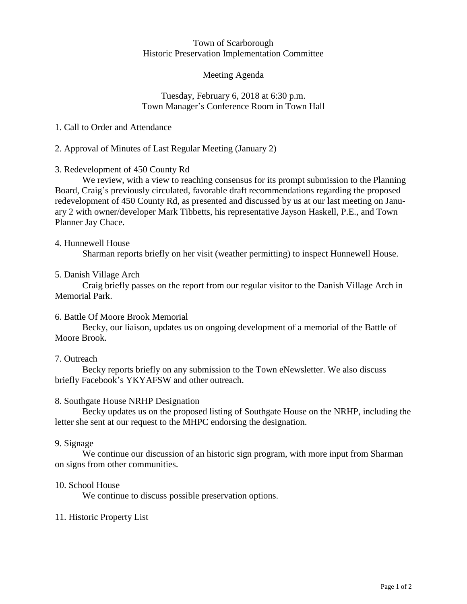#### Town of Scarborough Historic Preservation Implementation Committee

## Meeting Agenda

### Tuesday, February 6, 2018 at 6:30 p.m. Town Manager's Conference Room in Town Hall

## 1. Call to Order and Attendance

# 2. Approval of Minutes of Last Regular Meeting (January 2)

## 3. Redevelopment of 450 County Rd

We review, with a view to reaching consensus for its prompt submission to the Planning Board, Craig's previously circulated, favorable draft recommendations regarding the proposed redevelopment of 450 County Rd, as presented and discussed by us at our last meeting on January 2 with owner/developer Mark Tibbetts, his representative Jayson Haskell, P.E., and Town Planner Jay Chace.

### 4. Hunnewell House

Sharman reports briefly on her visit (weather permitting) to inspect Hunnewell House.

### 5. Danish Village Arch

Craig briefly passes on the report from our regular visitor to the Danish Village Arch in Memorial Park.

### 6. Battle Of Moore Brook Memorial

Becky, our liaison, updates us on ongoing development of a memorial of the Battle of Moore Brook.

### 7. Outreach

Becky reports briefly on any submission to the Town eNewsletter. We also discuss briefly Facebook's YKYAFSW and other outreach.

### 8. Southgate House NRHP Designation

Becky updates us on the proposed listing of Southgate House on the NRHP, including the letter she sent at our request to the MHPC endorsing the designation.

### 9. Signage

We continue our discussion of an historic sign program, with more input from Sharman on signs from other communities.

### 10. School House

We continue to discuss possible preservation options.

### 11. Historic Property List